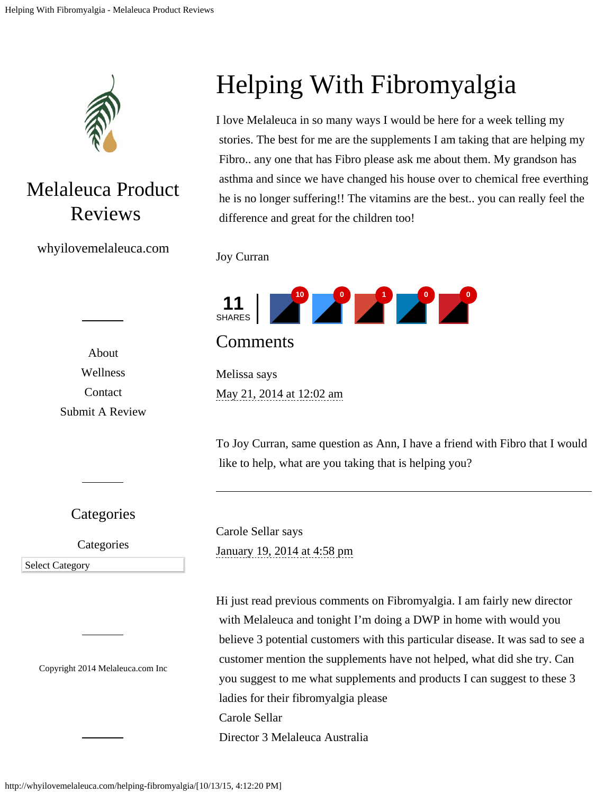

## Melaleuca Product Reviews

whyilovemelaleuca.com

[About](http://whyilovemelaleuca.com/about/) [Wellness](http://whyilovemelaleuca.com/category/wellness/) [Contact](http://whyilovemelaleuca.com/melaleuca-customer-service/) [Submit A Review](http://whyilovemelaleuca.com/submit-review/)

**Categories** 

**Categories** 

Select Category Select Category

Copyright 2014 [Melaleuca.com](http://www.melaleuca.info/) Inc

## Helping With Fibromyalgia

I love Melaleuca in so many ways I would be here for a week telling my stories. The best for me are the supplements I am taking that are helping my Fibro.. any one that has Fibro please ask me about them. My grandson has asthma and since we have changed his house over to chemical free everthing he is no longer suffering!! The vitamins are the best.. you can really feel the difference and great for the children too!



**Comments** 

Melissa says [May 21, 2014 at 12:02 am](#page-2-0)

To Joy Curran, same question as Ann, I have a friend with Fibro that I would like to help, what are you taking that is helping you?

Carole Sellar says [January 19, 2014 at 4:58 pm](#page-2-0)

Hi just read previous comments on Fibromyalgia. I am fairly new director with Melaleuca and tonight I'm doing a DWP in home with would you believe 3 potential customers with this particular disease. It was sad to see a customer mention the supplements have not helped, what did she try. Can you suggest to me what supplements and products I can suggest to these 3 ladies for their fibromyalgia please Carole Sellar Director 3 Melaleuca Australia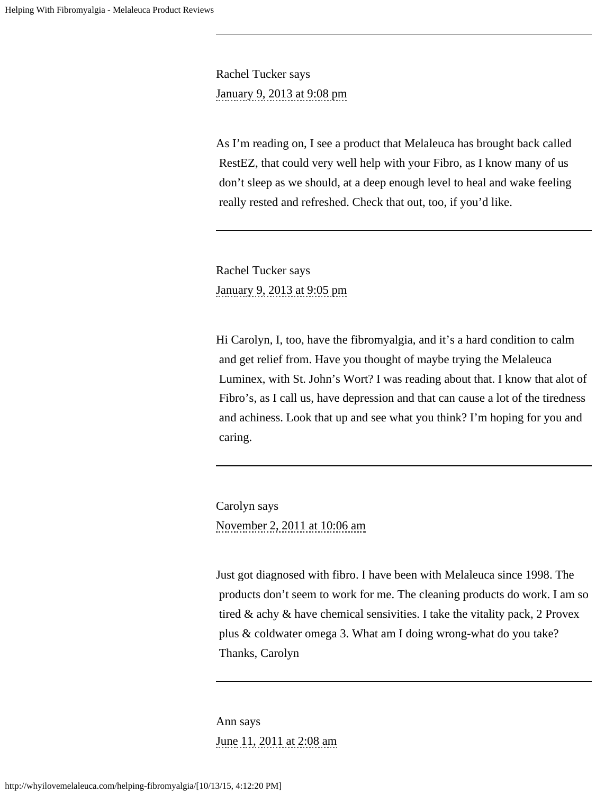Rachel Tucker says [January 9, 2013 at 9:08 pm](#page-2-0)

As I'm reading on, I see a product that Melaleuca has brought back called RestEZ, that could very well help with your Fibro, as I know many of us don't sleep as we should, at a deep enough level to heal and wake feeling really rested and refreshed. Check that out, too, if you'd like.

Rachel Tucker says [January 9, 2013 at 9:05 pm](#page-2-0)

Hi Carolyn, I, too, have the fibromyalgia, and it's a hard condition to calm and get relief from. Have you thought of maybe trying the Melaleuca Luminex, with St. John's Wort? I was reading about that. I know that alot of Fibro's, as I call us, have depression and that can cause a lot of the tiredness and achiness. Look that up and see what you think? I'm hoping for you and caring.

Carolyn says [November 2, 2011 at 10:06 am](#page-2-0)

Just got diagnosed with fibro. I have been with Melaleuca since 1998. The products don't seem to work for me. The cleaning products do work. I am so tired & achy & have chemical sensivities. I take the vitality pack, 2 Provex plus & coldwater omega 3. What am I doing wrong-what do you take? Thanks, Carolyn

Ann says [June 11, 2011 at 2:08 am](#page-2-1)